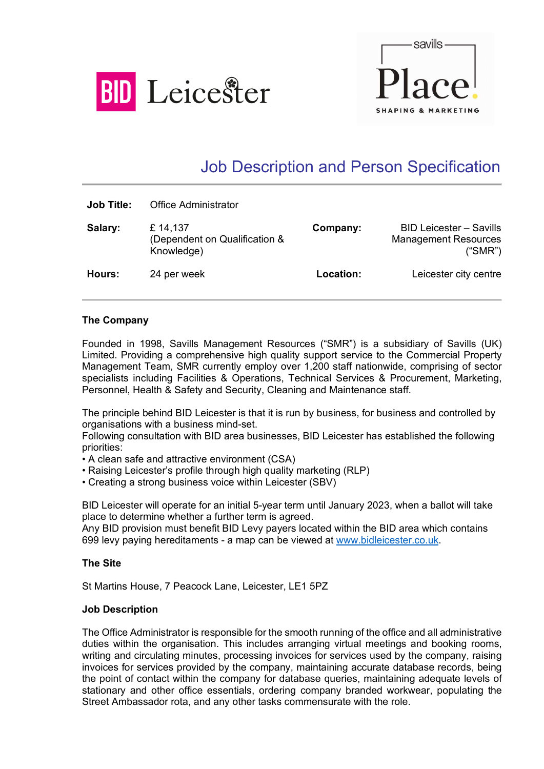



# Job Description and Person Specification

| <b>Job Title:</b> | <b>Office Administrator</b>                            |           |                                                                          |
|-------------------|--------------------------------------------------------|-----------|--------------------------------------------------------------------------|
| Salary:           | £14,137<br>(Dependent on Qualification &<br>Knowledge) | Company:  | <b>BID Leicester - Savills</b><br><b>Management Resources</b><br>("SMR") |
| Hours:            | 24 per week                                            | Location: | Leicester city centre                                                    |

## **The Company**

Founded in 1998, Savills Management Resources ("SMR") is a subsidiary of Savills (UK) Limited. Providing a comprehensive high quality support service to the Commercial Property Management Team, SMR currently employ over 1,200 staff nationwide, comprising of sector specialists including Facilities & Operations, Technical Services & Procurement, Marketing, Personnel, Health & Safety and Security, Cleaning and Maintenance staff.

The principle behind BID Leicester is that it is run by business, for business and controlled by organisations with a business mind-set.

Following consultation with BID area businesses, BID Leicester has established the following priorities:

• A clean safe and attractive environment (CSA)

- Raising Leicester's profile through high quality marketing (RLP)
- Creating a strong business voice within Leicester (SBV)

BID Leicester will operate for an initial 5-year term until January 2023, when a ballot will take place to determine whether a further term is agreed.

Any BID provision must benefit BID Levy payers located within the BID area which contains 699 levy paying hereditaments - a map can be viewed at [www.bidleicester.co.uk.](http://www.bidleicester.co.uk/)

#### **The Site**

St Martins House, 7 Peacock Lane, Leicester, LE1 5PZ

#### **Job Description**

The Office Administrator is responsible for the smooth running of the office and all administrative duties within the organisation. This includes arranging virtual meetings and booking rooms, writing and circulating minutes, processing invoices for services used by the company, raising invoices for services provided by the company, maintaining accurate database records, being the point of contact within the company for database queries, maintaining adequate levels of stationary and other office essentials, ordering company branded workwear, populating the Street Ambassador rota, and any other tasks commensurate with the role.